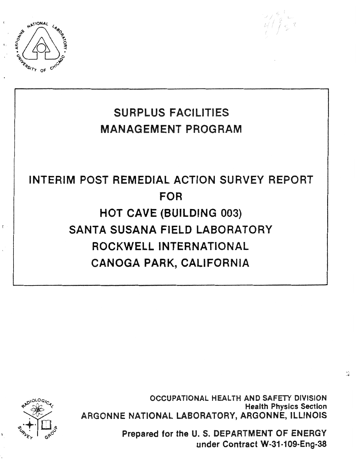



# INTERIM **POST REMEDIAL ACTION SURVEY REPORT FOR HOT CAVE (BUILDING 003) SANTA SUSANA FIELD LABORATORY ROCKWELL INTERNATIONAL CANOGA PARK, CALIFORNIA**



 $\bar{t}$ 

**OCCUPATIONAL HEALTH AND SAFETY DIVISION Health Physics Section ARGONNE NATIONAL LABORATORY, ARGONNE, ILLINOIS** 

> **Prepared for the U. S. DEPARTMENT OF ENERGY under Contract W-31-109-Eng-38**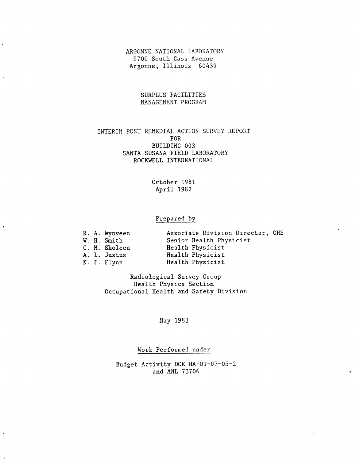ARGONNE NATIONAL LABORATORY 9700 South Cass Avenue Argonne, Illinois 60439

> SURPLUS FACILITIES MANAGEMENT PROGRAM

## INTERIM POST REMEDIAL ACTION SURVEY REPORT FOR BUILDING 003 SANTA SUSANA FIELD LABORATORY ROCKWELL INTERNATIONAL

### October 1981 April 1982

## Prepared by

 $\blacksquare$ 

|  | R. A. Wynveen | Associate Division Director, OHS |
|--|---------------|----------------------------------|
|  | W. H. Smith   | Senior Health Physicist          |
|  | C. M. Sholeen | Health Physicist                 |
|  | A. L. Justus  | Health Physicist                 |
|  | K. F. Flynn   | Health Physicist                 |

Radiological Survey Group Health Physics Section Occupational Health and Safety Division

May 1983

Work Performed under

Budget Activity DOE HA-01-07-05-2 and ANL 73706

 $\frac{\lambda_{\rm B}^2}{\sigma^2}$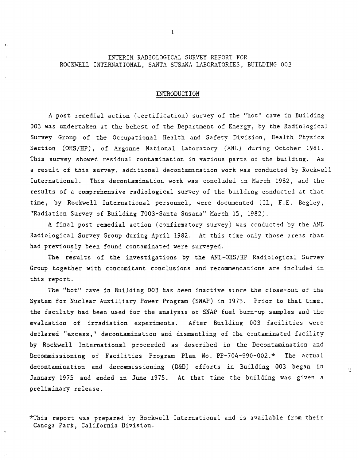## INTERIM RADIOLOGICAL SURVEY REPORT FOR ROCKWELL INTERNATIONAL, SANTA SUSANA LABORATORIES, BUILDING 003

#### INTRODUCTION

**A** post remedial action (certification) survey of the "hot" cave in Building 003 was undertaken at the behest of the Department of Energy, by the Radiological Survey Group of the Occupational Bealth and Safety Division, Health Physics Section (OHS/HP), of Argonne National Laboratory (ANL) during October 1981. This survey showed residual contamination in various parts of the building. As a result of this survey, additional decontamination work was conducted by Rockwell International. This decontamination work was concluded in March 1982, and the results of a comprehensive radiological survey of the building conducted at that **time,** by Rockwell International personnel, were documented (IL, F.E. Begley, "Radiation Survey of Building T003-Santa Susana" March 15, 1982).

**A** final post remedial action (confimatory survey) was conducted by the XXL Radiological Survey Group during April 1982. **At** this time only those areas that had previously been found contaminated were surveyed.

The results of the investigations by the ANL-OHS/HP Radiological Survey Group together with concomitant conclusions and recommendations are included in this report.

The "hot" cave in Building 003 has been inactive since the close-out of the System for Nuclear Auxilliary Power Program (SNAP) in 1973. Prior to that time, the facility had been used for the analysis of **SNAP** fuel burn-up samples and the evaluation of irradiation experiments. After Building 003 facilities were declared "excess," decontamination and dismantling of the contaminated facility by Rockwell International proceeded as described in the Decontamination and Decomissioning of Facilities **Program** Plan No. PP-704-990-002.\* **The** actual decontamination and decommissioning (D&D) efforts in Building 003 began in **C**<sub>C</sub> **January** 1975 and ended in June 1975. At that time the building was given a preliminary release.

\*This report was prepared by Rockwell International and is available from their Canoga Park, California Division.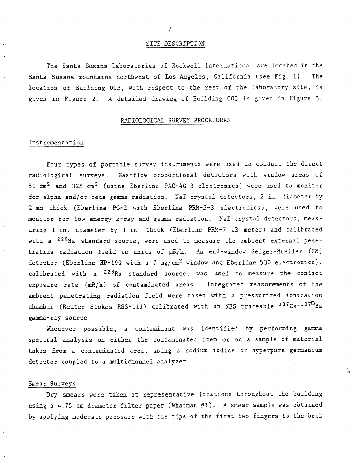#### SITE **DESCRIPTION**

The Santa Susana Laboratories of Rockwell International are located in the Santa Susana mountains northwest of Los Angeles, California (see Fig. 1). Tbe location of Building 003, with respect to the rest of the laboratory site, is given in Figure **2. A** detailed drawing of Building 003 is given in Figure 3.

#### RADIOLOGICAL SURVEY PROCEDURES

#### Instrumentation

Four types of portable survey instruments were used to conduct the direct radiological surveys. Gas-flow proportional detectors with window areas of 51 **cm2** and 325 **cm2** (using Eberline PAC-4G-3 electronics) were used to monitor for alpha and/or beta-gamma radiation. NaI crystal detectors, *2* in. diameter by **2** mm thick (Eberline PG-2 with Eberline PRY-5-3 electronics), were used to monitor for low energy x-ray and gamma radiation. NaI crystal detectors, measuring 1 in. diameter by 1 in. thick (Eberline PRM-7 µR meter) and calibrated with a  $^{226}$ Ra standard source, were used to measure the ambient external penetrating radiation field in units of  $\mu$ R/h. An end-window Geiger-Mueller (GM) detector (Eberline **HP-190** with a 7 mg/cm2 window and Eberline 530 electronics), calibrated with a <sup>226</sup>Ra standard source, was used to measure the contact exposure rate **(mR/h)** of contaminated areas. Integrated measurements of the ambient penetrating radiation field were taken with a pressurized ionization chamber (Reuter Stokes RSS-111) calibrated with an NBS traceable  $137Cs-137^m$ Ba gamma-ray source.

Whenever possible, a contaminant was identified by performing gamma spectral analysis on either the contaminated item or on a sample of material **taken** from a contaminated area, using a sodium iodide or hyperpure germanium detector coupled to a multichannel analyzer.

ЗS.

#### Smear Surveys

Dry smears were taken at representative locations throughout the building using a 4.75 **un** diameter filter paper (Whatman #1). **A** smear sample was obtained by applying moderate pressure with the tips of the first two fingers to the back

 $\overline{2}$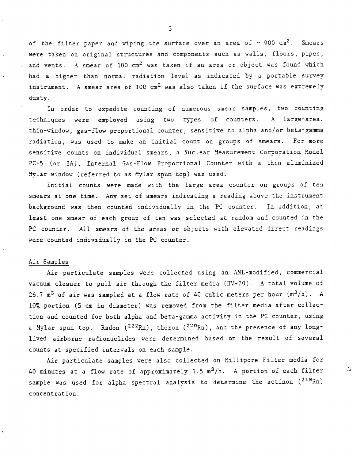of the filter paper and wiping the surface over an area of  $\sim$  900 cm<sup>2</sup>. Smears were taken on original structures and components such as walls, floors, pipes, and vents. A smear of 100 cm<sup>2</sup> was taken if an area or object was found which had a higher than nomal radiation level as indicated by a portable survey instrument. A smear area of  $100 \text{ cm}^2$  was also taken if the surface was extremely dusty .

In order to expedite counting of numerous smear samples, two counting techniques were employed using two types of counters. A large-area, thin-window, gas-flow proportional counter, sensitive to alpha and/or beta-gama radiation, was used to make an initial count on groups of smears. For more sensitive counts on individual smears, a Nuclear Measurement Corporation Model PC-5 (or 3A), Internal Gas-Flow Proportional Counter with a thin aluminized 3ylar window (referred to as Mylar spun top) **was** used.

Initial counts were made with the large area counter on groups of ten smears at one time. Any set of smears indicating a reading above the instrument background was then counted individually in the PC counter. In addition, at least one smear of each group of ten was selected at random and counted in the PC counter. All smears of the areas or objects with elevated direct readings were counted individually in the PC counter.

## Air Samples

Air particulate samples were collected using an ANL-modified, commercial vacuum cleaner to pull air through the filter media (KV-70). A total volume of 26.7  $m^3$  of air was sampled at a flow rate of 40 cubic meters per hour  $(m^3/h)$ . A 10% portion (5 **an** in diameter) was removed from the filter media after collection and counted for both alpha and beta-gamma activity in the PC counter, using a Mylar spun top. Radon  $(^{222}Rn)$ , thoron  $(^{220}Rn)$ , and the presence of any longlived airborne radionuclides were determined based on the result of several counts at specified intemals on each sample.

Air particulate samples were also collected on Millipore Filter media for<br>40 minutes at a flow rate of approximately 1.5  $m^3/h$ . A portion of each filter **ideal** sample was used for alpha spectral analysis to determine the actinon (219Rn) concentration.

3